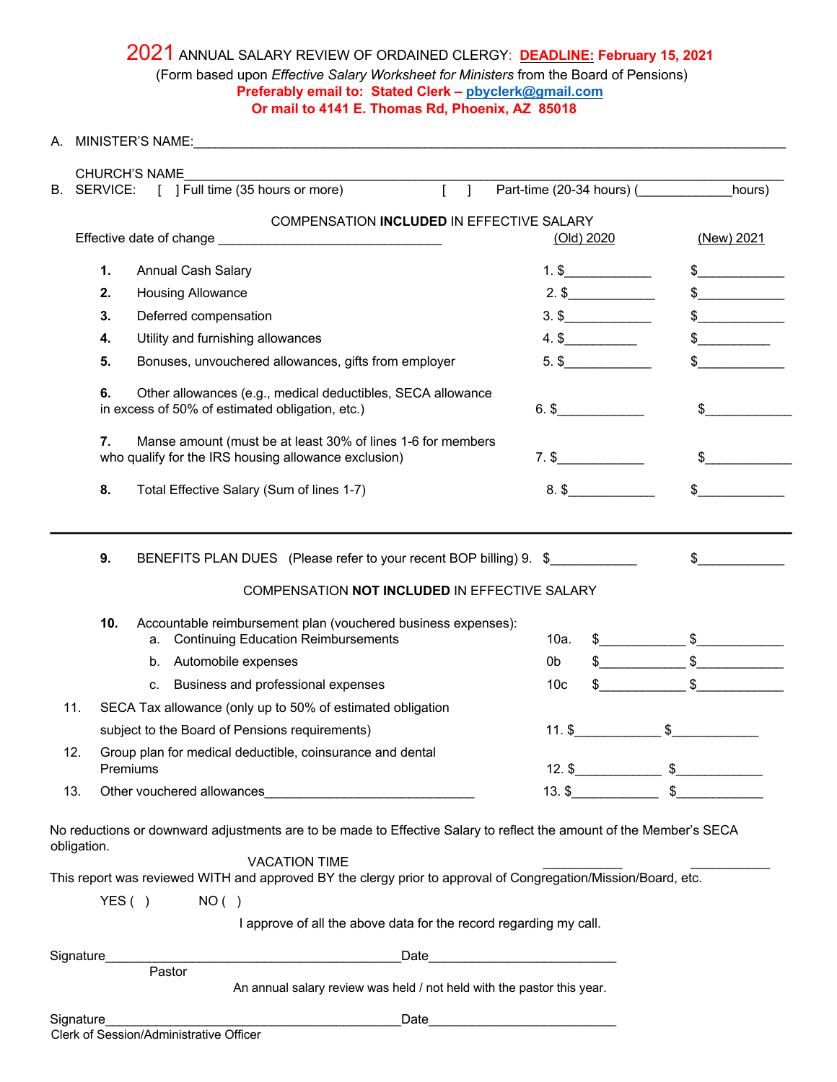## 2021 ANNUAL SALARY REVIEW OF ORDAINED CLERGY: **DEADLINE: February 15, 2021** (Form based upon *Effective Salary Worksheet for Ministers* from the Board of Pensions) **Preferably email to: Stated Clerk – pbyclerk@gmail.com Or mail to 4141 E. Thomas Rd, Phoenix, AZ 85018**

| A.  |                                                                                                                                                                                                                    |  |                 |               |
|-----|--------------------------------------------------------------------------------------------------------------------------------------------------------------------------------------------------------------------|--|-----------------|---------------|
|     | <b>CHURCH'S NAME</b>                                                                                                                                                                                               |  |                 |               |
| В.  | SERVICE: [ ] Full time (35 hours or more) [ ] Part-time (20-34 hours) ( _________ hours)                                                                                                                           |  |                 |               |
|     | COMPENSATION INCLUDED IN EFFECTIVE SALARY                                                                                                                                                                          |  | (Old) 2020      | (New) 2021    |
|     | 1.<br>Annual Cash Salary                                                                                                                                                                                           |  | $1.$ \$         |               |
|     | 2.<br><b>Housing Allowance</b>                                                                                                                                                                                     |  | $2.$ \$         | $\frac{1}{2}$ |
|     | 3.<br>Deferred compensation                                                                                                                                                                                        |  | $3.$ \$         | $\frac{1}{2}$ |
|     | Utility and furnishing allowances<br>4.                                                                                                                                                                            |  | $4.$ \$         | $\frac{1}{2}$ |
|     | 5.<br>Bonuses, unvouchered allowances, gifts from employer                                                                                                                                                         |  | $5.$ \$         |               |
|     | Other allowances (e.g., medical deductibles, SECA allowance<br>6.<br>in excess of 50% of estimated obligation, etc.)                                                                                               |  | $6.$ \$         | \$            |
|     | 7.<br>Manse amount (must be at least 30% of lines 1-6 for members<br>who qualify for the IRS housing allowance exclusion)                                                                                          |  | $7.$ \$         | $\sim$        |
|     | 8.<br>Total Effective Salary (Sum of lines 1-7)                                                                                                                                                                    |  | $8.$ \$         | $\sim$        |
|     | 9.<br>BENEFITS PLAN DUES (Please refer to your recent BOP billing) 9. \$<br>$\frac{1}{2}$<br>COMPENSATION NOT INCLUDED IN EFFECTIVE SALARY<br>10.<br>Accountable reimbursement plan (vouchered business expenses): |  |                 |               |
|     | <b>Continuing Education Reimbursements</b><br>а.                                                                                                                                                                   |  | 10a.            |               |
|     | Automobile expenses<br>b.                                                                                                                                                                                          |  | $\sim$<br>0b    | $\frac{1}{2}$ |
|     | Business and professional expenses<br>c.                                                                                                                                                                           |  | 10 <sub>c</sub> | $\mathbb{S}$  |
| 11. | SECA Tax allowance (only up to 50% of estimated obligation                                                                                                                                                         |  |                 |               |
|     | subject to the Board of Pensions requirements)                                                                                                                                                                     |  |                 |               |
| 12. | Group plan for medical deductible, coinsurance and dental<br>Premiums                                                                                                                                              |  |                 | $12.$ \$      |
| 13. |                                                                                                                                                                                                                    |  |                 |               |
|     | No reductions or downward adjustments are to be made to Effective Salary to reflect the amount of the Member's SECA<br>obligation.<br><b>VACATION TIME</b>                                                         |  |                 |               |
|     | This report was reviewed WITH and approved BY the clergy prior to approval of Congregation/Mission/Board, etc.                                                                                                     |  |                 |               |
|     | YES()<br>NO( )                                                                                                                                                                                                     |  |                 |               |
|     | I approve of all the above data for the record regarding my call.                                                                                                                                                  |  |                 |               |
|     | Signature<br>Pastor                                                                                                                                                                                                |  |                 |               |
|     | An annual salary review was held / not held with the pastor this year.                                                                                                                                             |  |                 |               |
|     | Signature                                                                                                                                                                                                          |  |                 |               |